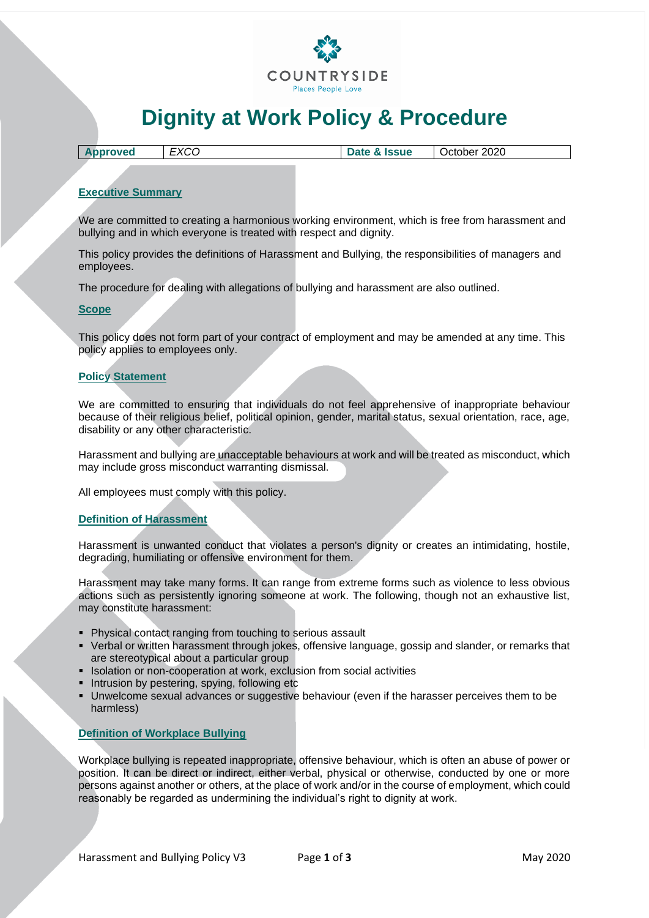

# **Dignity at Work Policy & Procedure**

| 2020<br><b>Date &amp; Issue</b><br><b>Approved</b><br>October<br>へしし |
|----------------------------------------------------------------------|
|----------------------------------------------------------------------|

# **Executive Summary**

We are committed to creating a harmonious working environment, which is free from harassment and bullying and in which everyone is treated with respect and dignity.

This policy provides the definitions of Harassment and Bullying, the responsibilities of managers and employees.

The procedure for dealing with allegations of bullying and harassment are also outlined.

#### **Scope**

This policy does not form part of your contract of employment and may be amended at any time. This policy applies to employees only.

## **Policy Statement**

We are committed to ensuring that individuals do not feel apprehensive of inappropriate behaviour because of their religious belief, political opinion, gender, marital status, sexual orientation, race, age, disability or any other characteristic.

Harassment and bullying are unacceptable behaviours at work and will be treated as misconduct, which may include gross misconduct warranting dismissal.

All employees must comply with this policy.

## **Definition of Harassment**

Harassment is unwanted conduct that violates a person's dignity or creates an intimidating, hostile, degrading, humiliating or offensive environment for them.

Harassment may take many forms. It can range from extreme forms such as violence to less obvious actions such as persistently ignoring someone at work. The following, though not an exhaustive list, may constitute harassment:

- Physical contact ranging from touching to serious assault
- Verbal or written harassment through jokes, offensive language, gossip and slander, or remarks that are stereotypical about a particular group
- **EXECTE:** Isolation or non-cooperation at work, exclusion from social activities
- **·** Intrusion by pestering, spying, following etc
- Unwelcome sexual advances or suggestive behaviour (even if the harasser perceives them to be harmless)

#### **Definition of Workplace Bullying**

Workplace bullying is repeated inappropriate, offensive behaviour, which is often an abuse of power or position. It can be direct or indirect, either verbal, physical or otherwise, conducted by one or more persons against another or others, at the place of work and/or in the course of employment, which could reasonably be regarded as undermining the individual's right to dignity at work.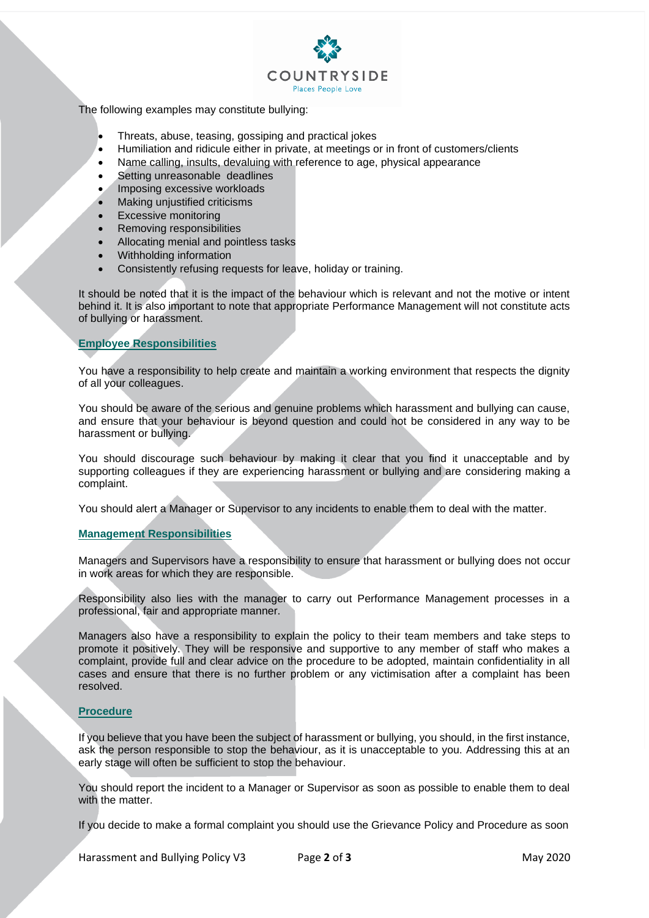

The following examples may constitute bullying:

- Threats, abuse, teasing, gossiping and practical jokes
- Humiliation and ridicule either in private, at meetings or in front of customers/clients
- Name calling, insults, devaluing with reference to age, physical appearance
- Setting unreasonable deadlines
- Imposing excessive workloads
- Making unjustified criticisms
- Excessive monitoring
- Removing responsibilities
- Allocating menial and pointless tasks
- Withholding information
- Consistently refusing requests for leave, holiday or training.

It should be noted that it is the impact of the behaviour which is relevant and not the motive or intent behind it. It is also important to note that appropriate Performance Management will not constitute acts of bullying or harassment.

## **Employee Responsibilities**

You have a responsibility to help create and maintain a working environment that respects the dignity of all your colleagues.

You should be aware of the serious and genuine problems which harassment and bullying can cause, and ensure that your behaviour is beyond question and could not be considered in any way to be harassment or bullying.

You should discourage such behaviour by making it clear that you find it unacceptable and by supporting colleagues if they are experiencing harassment or bullying and are considering making a complaint.

You should alert a Manager or Supervisor to any incidents to enable them to deal with the matter.

## **Management Responsibilities**

Managers and Supervisors have a responsibility to ensure that harassment or bullying does not occur in work areas for which they are responsible.

Responsibility also lies with the manager to carry out Performance Management processes in a professional, fair and appropriate manner.

Managers also have a responsibility to explain the policy to their team members and take steps to promote it positively. They will be responsive and supportive to any member of staff who makes a complaint, provide full and clear advice on the procedure to be adopted, maintain confidentiality in all cases and ensure that there is no further problem or any victimisation after a complaint has been resolved.

## **Procedure**

If you believe that you have been the subject of harassment or bullying, you should, in the first instance, ask the person responsible to stop the behaviour, as it is unacceptable to you. Addressing this at an early stage will often be sufficient to stop the behaviour.

You should report the incident to a Manager or Supervisor as soon as possible to enable them to deal with the matter.

If you decide to make a formal complaint you should use the Grievance Policy and Procedure as soon

Harassment and Bullying Policy V3 Page 2 of 3 May 2020